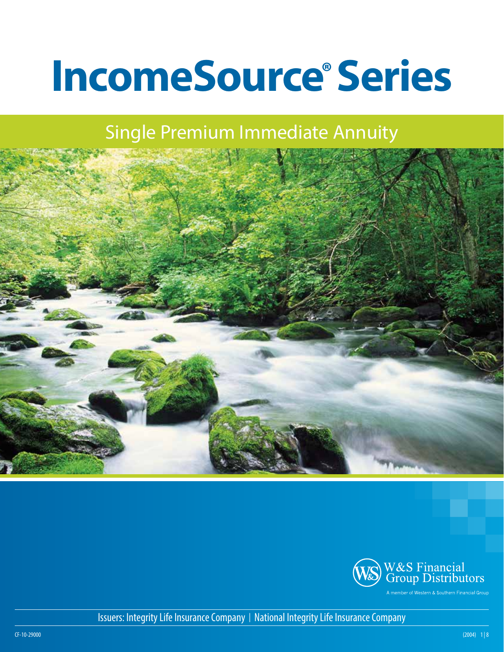# **IncomeSource®Series**

# Single Premium Immediate Annuity





Issuers: Integrity Life Insurance Company | National Integrity Life Insurance Company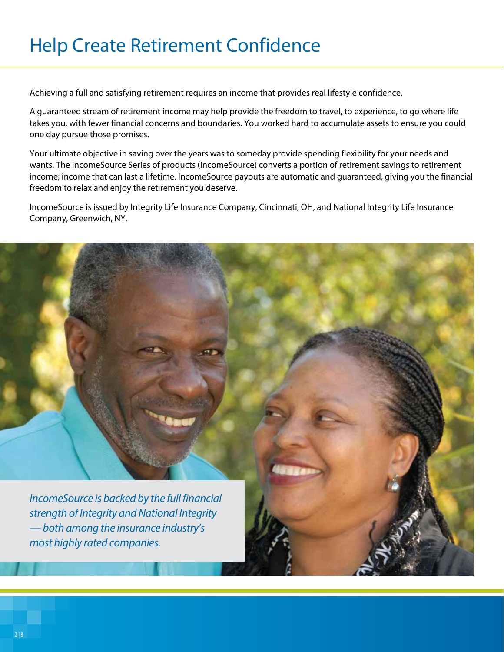# Help Create Retirement Confidence

Achieving a full and satisfying retirement requires an income that provides real lifestyle confidence.

A guaranteed stream of retirement income may help provide the freedom to travel, to experience, to go where life takes you, with fewer financial concerns and boundaries. You worked hard to accumulate assets to ensure you could one day pursue those promises.

Your ultimate objective in saving over the years was to someday provide spending flexibility for your needs and wants. The IncomeSource Series of products (IncomeSource) converts a portion of retirement savings to retirement income; income that can last a lifetime. IncomeSource payouts are automatic and guaranteed, giving you the financial freedom to relax and enjoy the retirement you deserve.

IncomeSource is issued by Integrity Life Insurance Company, Cincinnati, OH, and National Integrity Life Insurance Company, Greenwich, NY.

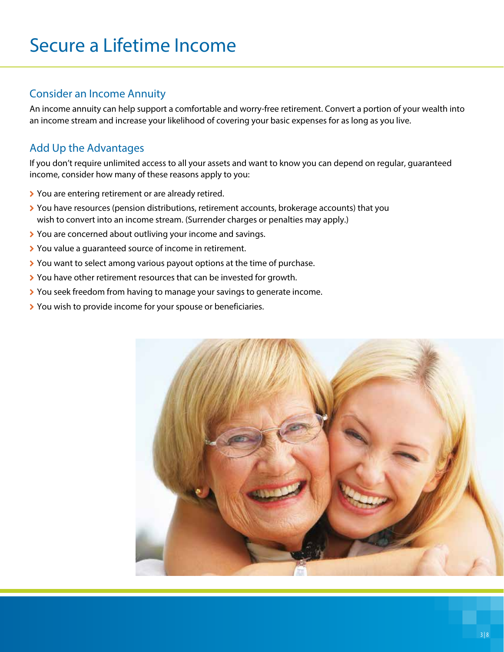# Secure a Lifetime Income

### Consider an Income Annuity

An income annuity can help support a comfortable and worry-free retirement. Convert a portion of your wealth into an income stream and increase your likelihood of covering your basic expenses for as long as you live.

## Add Up the Advantages

If you don't require unlimited access to all your assets and want to know you can depend on regular, guaranteed income, consider how many of these reasons apply to you:

- > You are entering retirement or are already retired.
- \ You have resources (pension distributions, retirement accounts, brokerage accounts) that you wish to convert into an income stream. (Surrender charges or penalties may apply.)
- \ You are concerned about outliving your income and savings.
- > You value a guaranteed source of income in retirement.
- \ You want to select among various payout options at the time of purchase.
- \ You have other retirement resources that can be invested for growth.
- \ You seek freedom from having to manage your savings to generate income.
- **>** You wish to provide income for your spouse or beneficiaries.

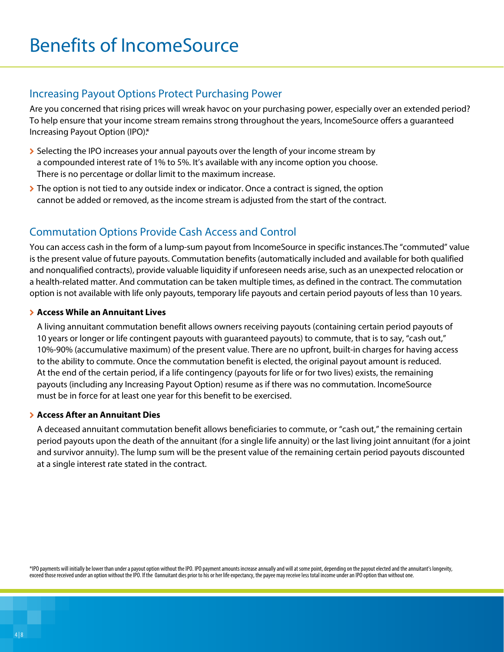### Increasing Payout Options Protect Purchasing Power

Are you concerned that rising prices will wreak havoc on your purchasing power, especially over an extended period? To help ensure that your income stream remains strong throughout the years, IncomeSource offers a guaranteed Increasing Payout Option (IPO).\*

- > Selecting the IPO increases your annual payouts over the length of your income stream by a compounded interest rate of 1% to 5%. It's available with any income option you choose. There is no percentage or dollar limit to the maximum increase.
- $\triangleright$  The option is not tied to any outside index or indicator. Once a contract is signed, the option cannot be added or removed, as the income stream is adjusted from the start of the contract.

## Commutation Options Provide Cash Access and Control

You can access cash in the form of a lump-sum payout from IncomeSource in specific instances.The "commuted" value is the present value of future payouts. Commutation benefits (automatically included and available for both qualified and nonqualified contracts), provide valuable liquidity if unforeseen needs arise, such as an unexpected relocation or a health-related matter. And commutation can be taken multiple times, as defined in the contract. The commutation option is not available with life only payouts, temporary life payouts and certain period payouts of less than 10 years.

#### \ **Access While an Annuitant Lives**

A living annuitant commutation benefit allows owners receiving payouts (containing certain period payouts of 10 years or longer or life contingent payouts with guaranteed payouts) to commute, that is to say, "cash out," 10%-90% (accumulative maximum) of the present value. There are no upfront, built-in charges for having access to the ability to commute. Once the commutation benefit is elected, the original payout amount is reduced. At the end of the certain period, if a life contingency (payouts for life or for two lives) exists, the remaining payouts (including any Increasing Payout Option) resume as if there was no commutation. IncomeSource must be in force for at least one year for this benefit to be exercised.

#### \ **Access After an Annuitant Dies**

A deceased annuitant commutation benefit allows beneficiaries to commute, or "cash out," the remaining certain period payouts upon the death of the annuitant (for a single life annuity) or the last living joint annuitant (for a joint and survivor annuity). The lump sum will be the present value of the remaining certain period payouts discounted at a single interest rate stated in the contract.

\*IPO payments will initially be lower than under a payout option without the IPO. IPO payment amounts increase annually and will at some point, depending on the payout elected and the annuitant's longevity, exceed those received under an option without the IPO. If the 0annuitant dies prior to his or her life expectancy, the payee may receive less total income under an IPO option than without one.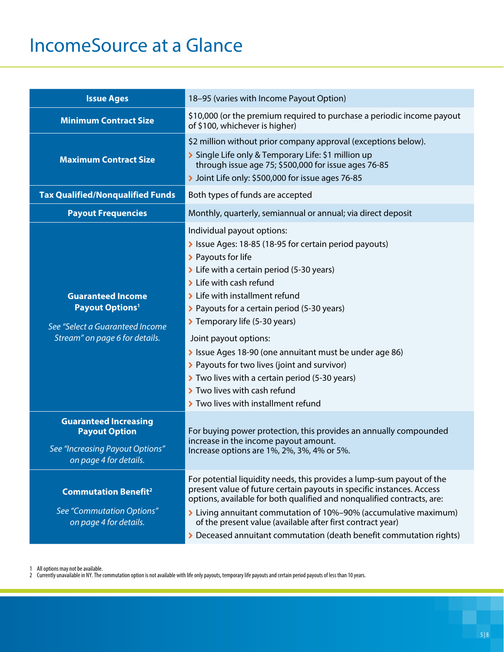# IncomeSource at a Glance

| <b>Issue Ages</b>                                                                                                                  | 18-95 (varies with Income Payout Option)                                                                                                                                                                                                                                                                                                                                                                                                                                                                                                                        |  |  |  |
|------------------------------------------------------------------------------------------------------------------------------------|-----------------------------------------------------------------------------------------------------------------------------------------------------------------------------------------------------------------------------------------------------------------------------------------------------------------------------------------------------------------------------------------------------------------------------------------------------------------------------------------------------------------------------------------------------------------|--|--|--|
| <b>Minimum Contract Size</b>                                                                                                       | \$10,000 (or the premium required to purchase a periodic income payout<br>of \$100, whichever is higher)                                                                                                                                                                                                                                                                                                                                                                                                                                                        |  |  |  |
| <b>Maximum Contract Size</b>                                                                                                       | \$2 million without prior company approval (exceptions below).<br>> Single Life only & Temporary Life: \$1 million up<br>through issue age 75; \$500,000 for issue ages 76-85<br>> Joint Life only: \$500,000 for issue ages 76-85                                                                                                                                                                                                                                                                                                                              |  |  |  |
| <b>Tax Qualified/Nonqualified Funds</b>                                                                                            | Both types of funds are accepted                                                                                                                                                                                                                                                                                                                                                                                                                                                                                                                                |  |  |  |
| <b>Payout Frequencies</b>                                                                                                          | Monthly, quarterly, semiannual or annual; via direct deposit                                                                                                                                                                                                                                                                                                                                                                                                                                                                                                    |  |  |  |
| <b>Guaranteed Income</b><br><b>Payout Options<sup>1</sup></b><br>See "Select a Guaranteed Income<br>Stream" on page 6 for details. | Individual payout options:<br>> Issue Ages: 18-85 (18-95 for certain period payouts)<br>> Payouts for life<br>> Life with a certain period (5-30 years)<br>> Life with cash refund<br>> Life with installment refund<br>> Payouts for a certain period (5-30 years)<br>> Temporary life (5-30 years)<br>Joint payout options:<br>> Issue Ages 18-90 (one annuitant must be under age 86)<br>> Payouts for two lives (joint and survivor)<br>Two lives with a certain period (5-30 years)<br>> Two lives with cash refund<br>> Two lives with installment refund |  |  |  |
| <b>Guaranteed Increasing</b><br><b>Payout Option</b><br>See "Increasing Payout Options"<br>on page 4 for details.                  | For buying power protection, this provides an annually compounded<br>increase in the income payout amount.<br>Increase options are 1%, 2%, 3%, 4% or 5%.                                                                                                                                                                                                                                                                                                                                                                                                        |  |  |  |
| <b>Commutation Benefit<sup>2</sup></b><br>See "Commutation Options"<br>on page 4 for details.                                      | For potential liquidity needs, this provides a lump-sum payout of the<br>present value of future certain payouts in specific instances. Access<br>options, available for both qualified and nonqualified contracts, are:<br>> Living annuitant commutation of 10%-90% (accumulative maximum)<br>of the present value (available after first contract year)<br>> Deceased annuitant commutation (death benefit commutation rights)                                                                                                                               |  |  |  |

1 All options may not be available.

2 Currently unavailable in NY. The commutation option is not available with life only payouts, temporary life payouts and certain period payouts of less than 10 years.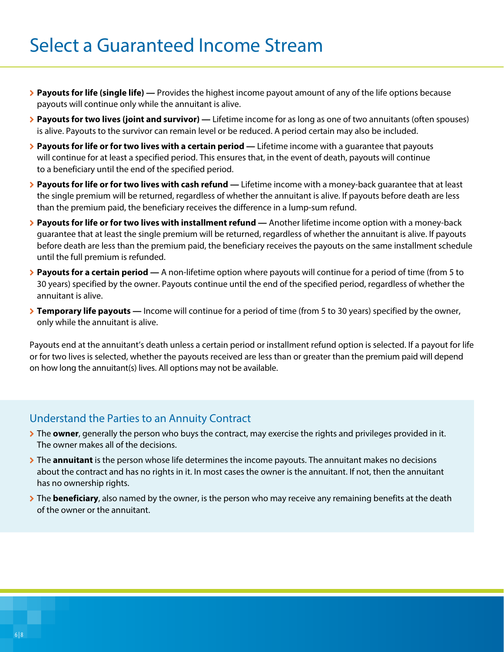# Select a Guaranteed Income Stream

- \ **Payouts for life (single life) —** Provides the highest income payout amount of any of the life options because payouts will continue only while the annuitant is alive.
- **Eayouts for two lives (joint and survivor) —** Lifetime income for as long as one of two annuitants (often spouses) is alive. Payouts to the survivor can remain level or be reduced. A period certain may also be included.
- **▶ Payouts for life or for two lives with a certain period Lifetime income with a guarantee that payouts** will continue for at least a specified period. This ensures that, in the event of death, payouts will continue to a beneficiary until the end of the specified period.
- \ **Payouts for life or for two lives with cash refund —** Lifetime income with a money-back guarantee that at least the single premium will be returned, regardless of whether the annuitant is alive. If payouts before death are less than the premium paid, the beneficiary receives the difference in a lump-sum refund.
- \ **Payouts for life or for two lives with installment refund —** Another lifetime income option with a money-back guarantee that at least the single premium will be returned, regardless of whether the annuitant is alive. If payouts before death are less than the premium paid, the beneficiary receives the payouts on the same installment schedule until the full premium is refunded.
- \ **Payouts for a certain period —** A non-lifetime option where payouts will continue for a period of time (from 5 to 30 years) specified by the owner. Payouts continue until the end of the specified period, regardless of whether the annuitant is alive.
- **Temporary life payouts** Income will continue for a period of time (from 5 to 30 years) specified by the owner, only while the annuitant is alive.

Payouts end at the annuitant's death unless a certain period or installment refund option is selected. If a payout for life or for two lives is selected, whether the payouts received are less than or greater than the premium paid will depend on how long the annuitant(s) lives. All options may not be available.

### Understand the Parties to an Annuity Contract

- \ The **owner**, generally the person who buys the contract, may exercise the rights and privileges provided in it. The owner makes all of the decisions.
- \ The **annuitant** is the person whose life determines the income payouts. The annuitant makes no decisions about the contract and has no rights in it. In most cases the owner is the annuitant. If not, then the annuitant has no ownership rights.
- \ The **beneficiary**, also named by the owner, is the person who may receive any remaining benefits at the death of the owner or the annuitant.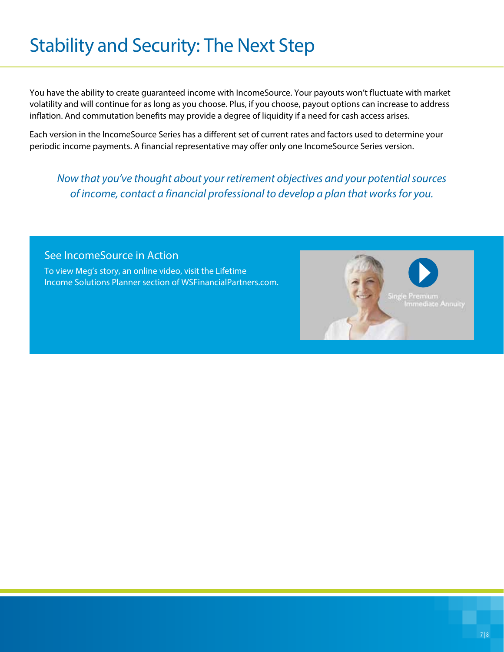# Stability and Security: The Next Step

You have the ability to create guaranteed income with IncomeSource. Your payouts won't fluctuate with market volatility and will continue for as long as you choose. Plus, if you choose, payout options can increase to address inflation. And commutation benefits may provide a degree of liquidity if a need for cash access arises.

Each version in the IncomeSource Series has a different set of current rates and factors used to determine your periodic income payments. A financial representative may offer only one IncomeSource Series version.

*Now that you've thought about your retirement objectives and your potential sources of income, contact a financial professional to develop a plan that works for you.*

### See IncomeSource in Action

To view Meg's story, an online video, visit the Lifetime Income Solutions Planner section of WSFinancialPartners.com.